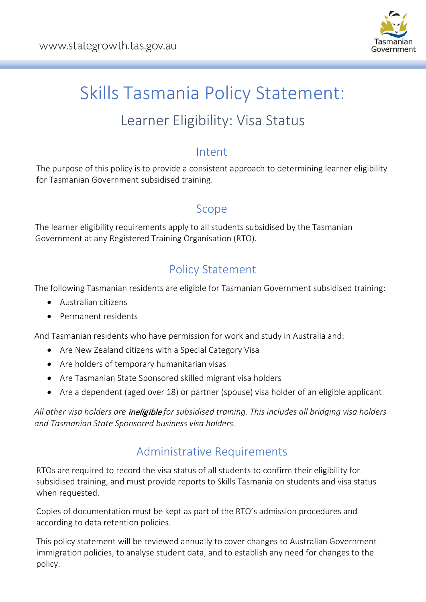

# Skills Tasmania Policy Statement:

## Learner Eligibility: Visa Status

#### Intent

The purpose of this policy is to provide a consistent approach to determining learner eligibility for Tasmanian Government subsidised training.

## Scope

The learner eligibility requirements apply to all students subsidised by the Tasmanian Government at any Registered Training Organisation (RTO).

## Policy Statement

The following Tasmanian residents are eligible for Tasmanian Government subsidised training:

- Australian citizens
- Permanent residents

And Tasmanian residents who have permission for work and study in Australia and:

- Are New Zealand citizens with a Special Category Visa
- Are holders of temporary humanitarian visas
- Are Tasmanian State Sponsored skilled migrant visa holders
- Are a dependent (aged over 18) or partner (spouse) visa holder of an eligible applicant

*All other visa holders are* ineligible *for subsidised training. This includes all bridging visa holders and Tasmanian State Sponsored business visa holders.*

## Administrative Requirements

RTOs are required to record the visa status of all students to confirm their eligibility for subsidised training, and must provide reports to Skills Tasmania on students and visa status when requested.

Copies of documentation must be kept as part of the RTO's admission procedures and according to data retention policies.

This policy statement will be reviewed annually to cover changes to Australian Government immigration policies, to analyse student data, and to establish any need for changes to the policy.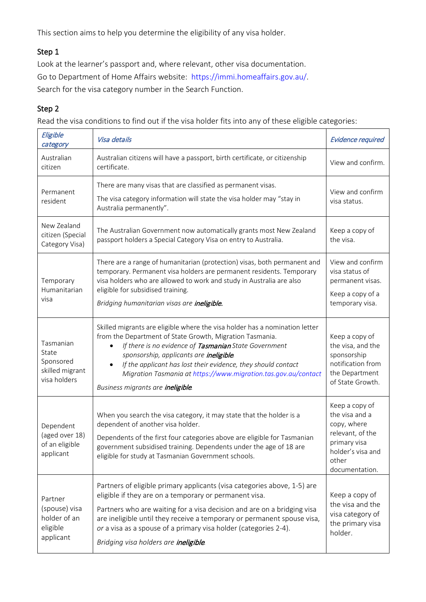This section aims to help you determine the eligibility of any visa holder.

#### Step 1

Look at the learner's passport and, where relevant, other visa documentation. Go to Department of Home Affairs website: [https://immi.homeaffairs.gov.au/.](https://immi.homeaffairs.gov.au/) Search for the visa category number in the Search Function.

#### Step 2

Read the visa conditions to find out if the visa holder fits into any of these eligible categories:

| Eligible<br>category                                               | Visa details                                                                                                                                                                                                                                                                                                                                                                                                        | <b>Evidence required</b>                                                                                                            |
|--------------------------------------------------------------------|---------------------------------------------------------------------------------------------------------------------------------------------------------------------------------------------------------------------------------------------------------------------------------------------------------------------------------------------------------------------------------------------------------------------|-------------------------------------------------------------------------------------------------------------------------------------|
| Australian<br>citizen                                              | Australian citizens will have a passport, birth certificate, or citizenship<br>certificate.                                                                                                                                                                                                                                                                                                                         | View and confirm.                                                                                                                   |
| Permanent<br>resident                                              | There are many visas that are classified as permanent visas.<br>The visa category information will state the visa holder may "stay in<br>Australia permanently".                                                                                                                                                                                                                                                    | View and confirm<br>visa status.                                                                                                    |
| New Zealand<br>citizen (Special<br>Category Visa)                  | The Australian Government now automatically grants most New Zealand<br>passport holders a Special Category Visa on entry to Australia.                                                                                                                                                                                                                                                                              | Keep a copy of<br>the visa.                                                                                                         |
| Temporary<br>Humanitarian<br>visa                                  | There are a range of humanitarian (protection) visas, both permanent and<br>temporary. Permanent visa holders are permanent residents. Temporary<br>visa holders who are allowed to work and study in Australia are also<br>eligible for subsidised training.<br>Bridging humanitarian visas are ineligible.                                                                                                        | View and confirm<br>visa status of<br>permanent visas.<br>Keep a copy of a<br>temporary visa.                                       |
| Tasmanian<br>State<br>Sponsored<br>skilled migrant<br>visa holders | Skilled migrants are eligible where the visa holder has a nomination letter<br>from the Department of State Growth, Migration Tasmania.<br>If there is no evidence of Tasmanian State Government<br>sponsorship, applicants are ineligible.<br>If the applicant has lost their evidence, they should contact<br>Migration Tasmania at https://www.migration.tas.gov.au/contact<br>Business migrants are ineligible. | Keep a copy of<br>the visa, and the<br>sponsorship<br>notification from<br>the Department<br>of State Growth.                       |
| Dependent<br>(aged over 18)<br>of an eligible<br>applicant         | When you search the visa category, it may state that the holder is a<br>dependent of another visa holder.<br>Dependents of the first four categories above are eligible for Tasmanian<br>government subsidised training. Dependents under the age of 18 are<br>eligible for study at Tasmanian Government schools.                                                                                                  | Keep a copy of<br>the visa and a<br>copy, where<br>relevant, of the<br>primary visa<br>holder's visa and<br>other<br>documentation. |
| Partner<br>(spouse) visa<br>holder of an<br>eligible<br>applicant  | Partners of eligible primary applicants (visa categories above, 1-5) are<br>eligible if they are on a temporary or permanent visa.<br>Partners who are waiting for a visa decision and are on a bridging visa<br>are ineligible until they receive a temporary or permanent spouse visa,<br>or a visa as a spouse of a primary visa holder (categories 2-4).<br>Bridging visa holders are <i>ineligible</i> .       | Keep a copy of<br>the visa and the<br>visa category of<br>the primary visa<br>holder.                                               |